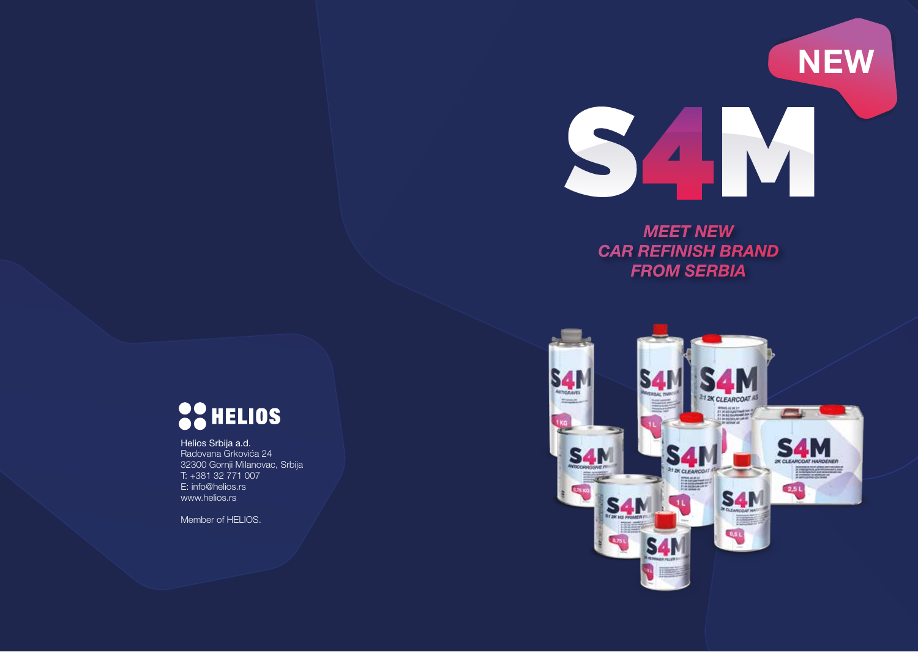

#### *MEET NEW CAR REFINISH BRAND FROM SERBIA*



# **SCHELIOS**

Helios Srbija a.d. Radovana Grkovića 24 32300 Gornji Milanovac, Srbija T: +381 32 771 007 E: info@helios.rs www.helios.rs

Member of HELIOS.